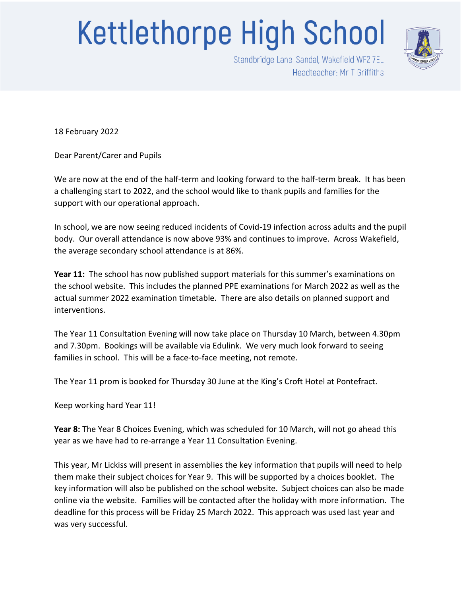## **Kettlethorpe High School**



Standbridge Lane, Sandal, Wakefield WF2 7EL Headteacher: Mr T Griffiths

18 February 2022

Dear Parent/Carer and Pupils

We are now at the end of the half-term and looking forward to the half-term break. It has been a challenging start to 2022, and the school would like to thank pupils and families for the support with our operational approach.

In school, we are now seeing reduced incidents of Covid-19 infection across adults and the pupil body. Our overall attendance is now above 93% and continues to improve. Across Wakefield, the average secondary school attendance is at 86%.

**Year 11:** The school has now published support materials for this summer's examinations on the school website. This includes the planned PPE examinations for March 2022 as well as the actual summer 2022 examination timetable. There are also details on planned support and interventions.

The Year 11 Consultation Evening will now take place on Thursday 10 March, between 4.30pm and 7.30pm. Bookings will be available via Edulink. We very much look forward to seeing families in school. This will be a face-to-face meeting, not remote.

The Year 11 prom is booked for Thursday 30 June at the King's Croft Hotel at Pontefract.

Keep working hard Year 11!

**Year 8:** The Year 8 Choices Evening, which was scheduled for 10 March, will not go ahead this year as we have had to re-arrange a Year 11 Consultation Evening.

This year, Mr Lickiss will present in assemblies the key information that pupils will need to help them make their subject choices for Year 9. This will be supported by a choices booklet. The key information will also be published on the school website. Subject choices can also be made online via the website. Families will be contacted after the holiday with more information. The deadline for this process will be Friday 25 March 2022. This approach was used last year and was very successful.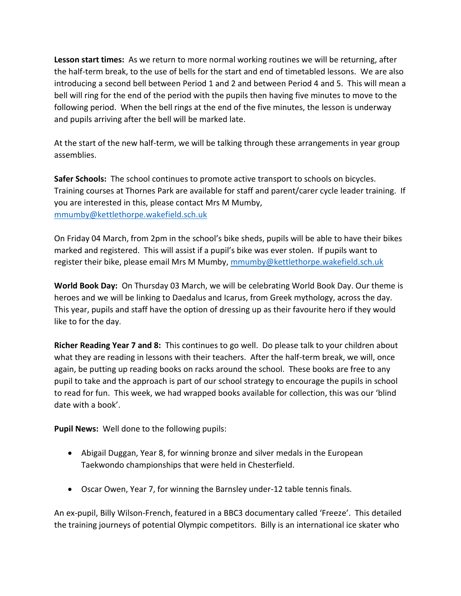**Lesson start times:** As we return to more normal working routines we will be returning, after the half-term break, to the use of bells for the start and end of timetabled lessons. We are also introducing a second bell between Period 1 and 2 and between Period 4 and 5. This will mean a bell will ring for the end of the period with the pupils then having five minutes to move to the following period. When the bell rings at the end of the five minutes, the lesson is underway and pupils arriving after the bell will be marked late.

At the start of the new half-term, we will be talking through these arrangements in year group assemblies.

**Safer Schools:** The school continues to promote active transport to schools on bicycles. Training courses at Thornes Park are available for staff and parent/carer cycle leader training. If you are interested in this, please contact Mrs M Mumby, [mmumby@kettlethorpe.wakefield.sch.uk](mailto:mmumby@kettlethorpe.wakefield.sch.uk)

On Friday 04 March, from 2pm in the school's bike sheds, pupils will be able to have their bikes marked and registered. This will assist if a pupil's bike was ever stolen. If pupils want to register their bike, please email Mrs M Mumby, [mmumby@kettlethorpe.wakefield.sch.uk](mailto:mmumby@kettlethorpe.wakefield.sch.uk)

**World Book Day:** On Thursday 03 March, we will be celebrating World Book Day. Our theme is heroes and we will be linking to Daedalus and Icarus, from Greek mythology, across the day. This year, pupils and staff have the option of dressing up as their favourite hero if they would like to for the day.

**Richer Reading Year 7 and 8:** This continues to go well. Do please talk to your children about what they are reading in lessons with their teachers. After the half-term break, we will, once again, be putting up reading books on racks around the school. These books are free to any pupil to take and the approach is part of our school strategy to encourage the pupils in school to read for fun. This week, we had wrapped books available for collection, this was our 'blind date with a book'.

**Pupil News:** Well done to the following pupils:

- Abigail Duggan, Year 8, for winning bronze and silver medals in the European Taekwondo championships that were held in Chesterfield.
- Oscar Owen, Year 7, for winning the Barnsley under-12 table tennis finals.

An ex-pupil, Billy Wilson-French, featured in a BBC3 documentary called 'Freeze'. This detailed the training journeys of potential Olympic competitors. Billy is an international ice skater who